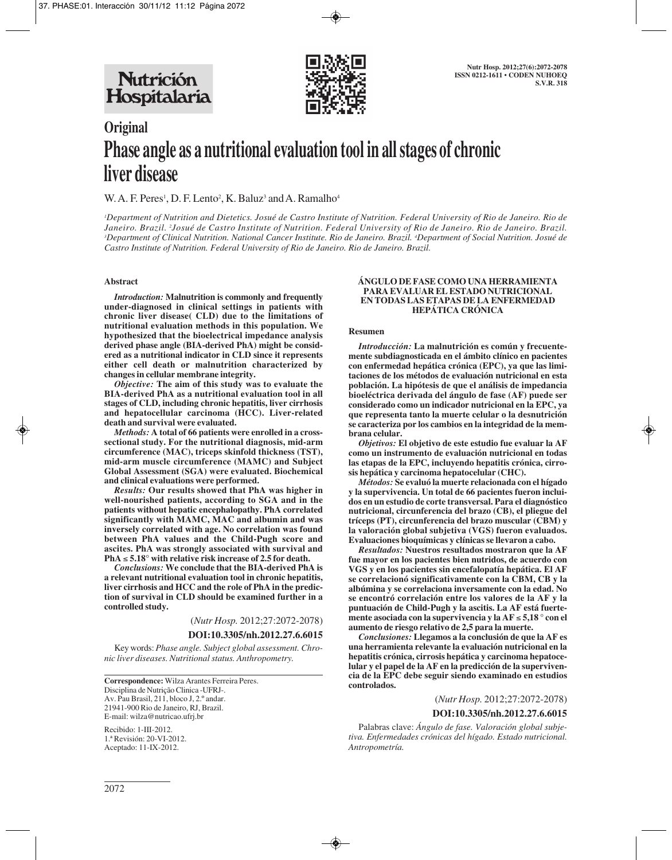

# **Original Phase angle as a nutritional evaluation tool in all stages of chronic liver disease**

W. A. F. Peres<sup>1</sup>, D. F. Lento<sup>2</sup>, K. Baluz<sup>3</sup> and A. Ramalho<sup>4</sup>

*1 Department of Nutrition and Dietetics. Josué de Castro Institute of Nutrition. Federal University of Rio de Janeiro. Rio de Janeiro. Brazil. 2 Josué de Castro Institute of Nutrition. Federal University of Rio de Janeiro. Rio de Janeiro. Brazil. 3 Department of Clinical Nutrition. National Cancer Institute. Rio de Janeiro. Brazil. 4 Department of Social Nutrition. Josué de Castro Institute of Nutrition. Federal University of Rio de Janeiro. Rio de Janeiro. Brazil.*

#### **Abstract**

*Introduction:* **Malnutrition is commonly and frequently under-diagnosed in clinical settings in patients with chronic liver disease( CLD) due to the limitations of nutritional evaluation methods in this population. We hypothesized that the bioelectrical impedance analysis derived phase angle (BIA-derived PhA) might be considered as a nutritional indicator in CLD since it represents either cell death or malnutrition characterized by changes in cellular membrane integrity.** 

*Objective:* **The aim of this study was to evaluate the BIA-derived PhA as a nutritional evaluation tool in all stages of CLD, including chronic hepatitis, liver cirrhosis and hepatocellular carcinoma (HCC). Liver-related death and survival were evaluated.** 

*Methods:* **A total of 66 patients were enrolled in a crosssectional study. For the nutritional diagnosis, mid-arm circumference (MAC), triceps skinfold thickness (TST), mid-arm muscle circumference (MAMC) and Subject Global Assessment (SGA) were evaluated. Biochemical and clinical evaluations were performed.** 

*Results:* **Our results showed that PhA was higher in well-nourished patients, according to SGA and in the patients without hepatic encephalopathy. PhA correlated significantly with MAMC, MAC and albumin and was inversely correlated with age. No correlation was found between PhA values and the Child-Pugh score and ascites. PhA was strongly associated with survival and PhA** ≤ **5.18° with relative risk increase of 2.5 for death.**

*Conclusions:* **We conclude that the BIA-derived PhA is a relevant nutritional evaluation tool in chronic hepatitis, liver cirrhosis and HCC and the role of PhA in the prediction of survival in CLD should be examined further in a controlled study.**

(*Nutr Hosp.* 2012;27:2072-2078)

#### **DOI:10.3305/nh.2012.27.6.6015**

Key words: *Phase angle. Subject global assessment. Chronic liver diseases. Nutritional status. Anthropometry.*

**Correspondence:** Wilza Arantes Ferreira Peres. Disciplina de Nutrição Clinica -UFRJ-. Av. Pau Brasil, 211, bloco J, 2.º andar. 21941-900 Rio de Janeiro, RJ, Brazil. E-mail: wilza@nutricao.ufrj.br

Recibido: 1-III-2012. 1.ª Revisión: 20-VI-2012. Aceptado: 11-IX-2012.

#### **ÁNGULO DE FASE COMO UNA HERRAMIENTA PARA EVALUAR EL ESTADO NUTRICIONAL EN TODAS LAS ETAPAS DE LA ENFERMEDAD HEPÁTICA CRÓNICA**

#### **Resumen**

*Introducción:* **La malnutrición es común y frecuentemente subdiagnosticada en el ámbito clínico en pacientes con enfermedad hepática crónica (EPC), ya que las limitaciones de los métodos de evaluación nutricional en esta población. La hipótesis de que el análisis de impedancia bioeléctrica derivada del ángulo de fase (AF) puede ser considerado como un indicador nutricional en la EPC, ya que representa tanto la muerte celular o la desnutrición se caracteriza por los cambios en la integridad de la membrana celular.** 

*Objetivos:* **El objetivo de este estudio fue evaluar la AF como un instrumento de evaluación nutricional en todas las etapas de la EPC, incluyendo hepatitis crónica, cirrosis hepática y carcinoma hepatocelular (CHC).** 

*Métodos:* **Se evaluó la muerte relacionada con el hígado y la supervivencia. Un total de 66 pacientes fueron incluidos en un estudio de corte transversal. Para el diagnóstico nutricional, circunferencia del brazo (CB), el pliegue del tríceps (PT), circunferencia del brazo muscular (CBM) y la valoración global subjetiva (VGS) fueron evaluados. Evaluaciones bioquímicas y clínicas se llevaron a cabo.** 

*Resultados:* **Nuestros resultados mostraron que la AF fue mayor en los pacientes bien nutridos, de acuerdo con VGS y en los pacientes sin encefalopatía hepática. El AF se correlacionó significativamente con la CBM, CB y la albúmina y se correlaciona inversamente con la edad. No se encontró correlación entre los valores de la AF y la puntuación de Child-Pugh y la ascitis. La AF está fuertemente asociada con la supervivencia y la AF** ≤ **5,18 ° con el aumento de riesgo relativo de 2,5 para la muerte.** 

*Conclusiones:* **Llegamos a la conclusión de que la AF es una herramienta relevante la evaluación nutricional en la hepatitis crónica, cirrosis hepática y carcinoma hepatocelular y el papel de la AF en la predicción de la supervivencia de la EPC debe seguir siendo examinado en estudios controlados.**

(*Nutr Hosp.* 2012;27:2072-2078)

#### **DOI:10.3305/nh.2012.27.6.6015**

Palabras clave: *Ángulo de fase. Valoración global subjetiva. Enfermedades crónicas del hígado. Estado nutricional. Antropometría.*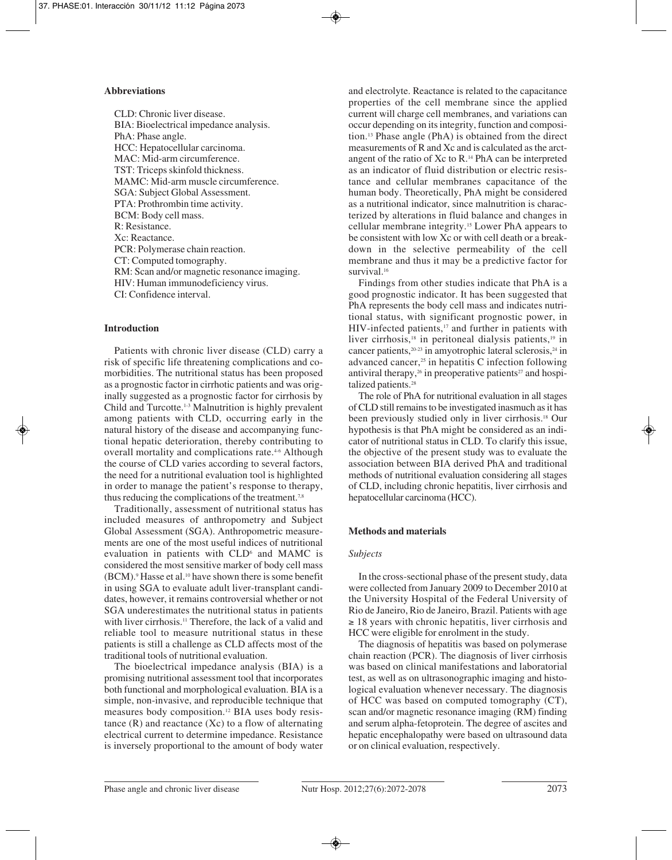### **Abbreviations**

CLD: Chronic liver disease. BIA: Bioelectrical impedance analysis. PhA: Phase angle. HCC: Hepatocellular carcinoma. MAC: Mid-arm circumference. TST: Triceps skinfold thickness. MAMC: Mid-arm muscle circumference. SGA: Subject Global Assessment. PTA: Prothrombin time activity. BCM: Body cell mass. R: Resistance. Xc: Reactance. PCR: Polymerase chain reaction. CT: Computed tomography. RM: Scan and/or magnetic resonance imaging. HIV: Human immunodeficiency virus. CI: Confidence interval.

## **Introduction**

Patients with chronic liver disease (CLD) carry a risk of specific life threatening complications and comorbidities. The nutritional status has been proposed as a prognostic factor in cirrhotic patients and was originally suggested as a prognostic factor for cirrhosis by Child and Turcotte.1-3 Malnutrition is highly prevalent among patients with CLD, occurring early in the natural history of the disease and accompanying functional hepatic deterioration, thereby contributing to overall mortality and complications rate.<sup>46</sup> Although the course of CLD varies according to several factors, the need for a nutritional evaluation tool is highlighted in order to manage the patient's response to therapy, thus reducing the complications of the treatment.<sup>7,8</sup>

Traditionally, assessment of nutritional status has included measures of anthropometry and Subject Global Assessment (SGA). Anthropometric measurements are one of the most useful indices of nutritional evaluation in patients with CLD<sup>6</sup> and MAMC is considered the most sensitive marker of body cell mass (BCM).9 Hasse et al.10 have shown there is some benefit in using SGA to evaluate adult liver-transplant candidates, however, it remains controversial whether or not SGA underestimates the nutritional status in patients with liver cirrhosis.<sup>11</sup> Therefore, the lack of a valid and reliable tool to measure nutritional status in these patients is still a challenge as CLD affects most of the traditional tools of nutritional evaluation.

The bioelectrical impedance analysis (BIA) is a promising nutritional assessment tool that incorporates both functional and morphological evaluation. BIA is a simple, non-invasive, and reproducible technique that measures body composition.12 BIA uses body resistance  $(R)$  and reactance  $(Xc)$  to a flow of alternating electrical current to determine impedance. Resistance is inversely proportional to the amount of body water

and electrolyte. Reactance is related to the capacitance properties of the cell membrane since the applied current will charge cell membranes, and variations can occur depending on its integrity, function and composition.13 Phase angle (PhA) is obtained from the direct measurements of R and Xc and is calculated as the arctangent of the ratio of Xc to R.14 PhA can be interpreted as an indicator of fluid distribution or electric resistance and cellular membranes capacitance of the human body. Theoretically, PhA might be considered as a nutritional indicator, since malnutrition is characterized by alterations in fluid balance and changes in cellular membrane integrity.15 Lower PhA appears to be consistent with low Xc or with cell death or a breakdown in the selective permeability of the cell membrane and thus it may be a predictive factor for survival.16

Findings from other studies indicate that PhA is a good prognostic indicator. It has been suggested that PhA represents the body cell mass and indicates nutritional status, with significant prognostic power, in  $HIV$ -infected patients, $17$  and further in patients with liver cirrhosis,<sup>18</sup> in peritoneal dialysis patients,<sup>19</sup> in cancer patients,<sup>20-23</sup> in amyotrophic lateral sclerosis,<sup>24</sup> in advanced cancer,<sup>25</sup> in hepatitis C infection following antiviral therapy,<sup>26</sup> in preoperative patients<sup>27</sup> and hospitalized patients.<sup>28</sup>

The role of PhA for nutritional evaluation in all stages of CLD still remains to be investigated inasmuch as it has been previously studied only in liver cirrhosis.18 Our hypothesis is that PhA might be considered as an indicator of nutritional status in CLD. To clarify this issue, the objective of the present study was to evaluate the association between BIA derived PhA and traditional methods of nutritional evaluation considering all stages of CLD, including chronic hepatitis, liver cirrhosis and hepatocellular carcinoma (HCC).

## **Methods and materials**

## *Subjects*

In the cross-sectional phase of the present study, data were collected from January 2009 to December 2010 at the University Hospital of the Federal University of Rio de Janeiro, Rio de Janeiro, Brazil. Patients with age  $\geq$  18 years with chronic hepatitis, liver cirrhosis and HCC were eligible for enrolment in the study.

The diagnosis of hepatitis was based on polymerase chain reaction (PCR). The diagnosis of liver cirrhosis was based on clinical manifestations and laboratorial test, as well as on ultrasonographic imaging and histological evaluation whenever necessary. The diagnosis of HCC was based on computed tomography (CT), scan and/or magnetic resonance imaging (RM) finding and serum alpha-fetoprotein. The degree of ascites and hepatic encephalopathy were based on ultrasound data or on clinical evaluation, respectively.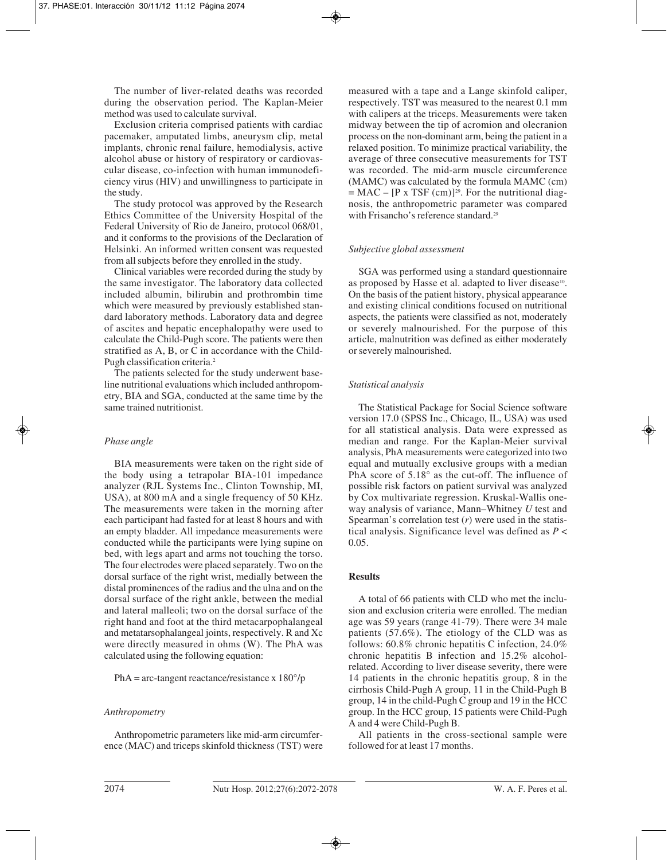The number of liver-related deaths was recorded during the observation period. The Kaplan-Meier method was used to calculate survival.

Exclusion criteria comprised patients with cardiac pacemaker, amputated limbs, aneurysm clip, metal implants, chronic renal failure, hemodialysis, active alcohol abuse or history of respiratory or cardiovascular disease, co-infection with human immunodeficiency virus (HIV) and unwillingness to participate in the study.

The study protocol was approved by the Research Ethics Committee of the University Hospital of the Federal University of Rio de Janeiro, protocol 068/01, and it conforms to the provisions of the Declaration of Helsinki. An informed written consent was requested from all subjects before they enrolled in the study.

Clinical variables were recorded during the study by the same investigator. The laboratory data collected included albumin, bilirubin and prothrombin time which were measured by previously established standard laboratory methods. Laboratory data and degree of ascites and hepatic encephalopathy were used to calculate the Child-Pugh score. The patients were then stratified as  $A$ ,  $B$ , or  $\overline{C}$  in accordance with the Child-Pugh classification criteria.<sup>2</sup>

The patients selected for the study underwent baseline nutritional evaluations which included anthropometry, BIA and SGA, conducted at the same time by the same trained nutritionist.

## *Phase angle*

BIA measurements were taken on the right side of the body using a tetrapolar BIA-101 impedance analyzer (RJL Systems Inc., Clinton Township, MI, USA), at 800 mA and a single frequency of 50 KHz. The measurements were taken in the morning after each participant had fasted for at least 8 hours and with an empty bladder. All impedance measurements were conducted while the participants were lying supine on bed, with legs apart and arms not touching the torso. The four electrodes were placed separately. Two on the dorsal surface of the right wrist, medially between the distal prominences of the radius and the ulna and on the dorsal surface of the right ankle, between the medial and lateral malleoli; two on the dorsal surface of the right hand and foot at the third metacarpophalangeal and metatarsophalangeal joints, respectively. R and Xc were directly measured in ohms (W). The PhA was calculated using the following equation:

 $PhA = arc-tangent reactance/resistance x 180°/p$ 

## *Anthropometry*

Anthropometric parameters like mid-arm circumference (MAC) and triceps skinfold thickness (TST) were measured with a tape and a Lange skinfold caliper, respectively. TST was measured to the nearest 0.1 mm with calipers at the triceps. Measurements were taken midway between the tip of acromion and olecranion process on the non-dominant arm, being the patient in a relaxed position. To minimize practical variability, the average of three consecutive measurements for TST was recorded. The mid-arm muscle circumference (MAMC) was calculated by the formula MAMC (cm)  $=$  MAC – [P x TSF (cm)]<sup>29</sup>. For the nutritional diagnosis, the anthropometric parameter was compared with Frisancho's reference standard.<sup>29</sup>

## *Subjective global assessment*

SGA was performed using a standard questionnaire as proposed by Hasse et al. adapted to liver disease<sup>10</sup>. On the basis of the patient history, physical appearance and existing clinical conditions focused on nutritional aspects, the patients were classified as not, moderately or severely malnourished. For the purpose of this article, malnutrition was defined as either moderately or severely malnourished.

# *Statistical analysis*

The Statistical Package for Social Science software version 17.0 (SPSS Inc., Chicago, IL, USA) was used for all statistical analysis. Data were expressed as median and range. For the Kaplan-Meier survival analysis, PhA measurements were categorized into two equal and mutually exclusive groups with a median PhA score of 5.18° as the cut-off. The influence of possible risk factors on patient survival was analyzed by Cox multivariate regression. Kruskal-Wallis oneway analysis of variance, Mann–Whitney *U* test and Spearman's correlation test (*r*) were used in the statistical analysis. Significance level was defined as *P* < 0.05.

## **Results**

A total of 66 patients with CLD who met the inclusion and exclusion criteria were enrolled. The median age was 59 years (range 41-79). There were 34 male patients (57.6%). The etiology of the CLD was as follows: 60.8% chronic hepatitis C infection, 24.0% chronic hepatitis B infection and 15.2% alcoholrelated. According to liver disease severity, there were 14 patients in the chronic hepatitis group, 8 in the cirrhosis Child-Pugh A group, 11 in the Child-Pugh B group, 14 in the child-Pugh C group and 19 in the HCC group. In the HCC group, 15 patients were Child-Pugh A and 4 were Child-Pugh B.

All patients in the cross-sectional sample were followed for at least 17 months.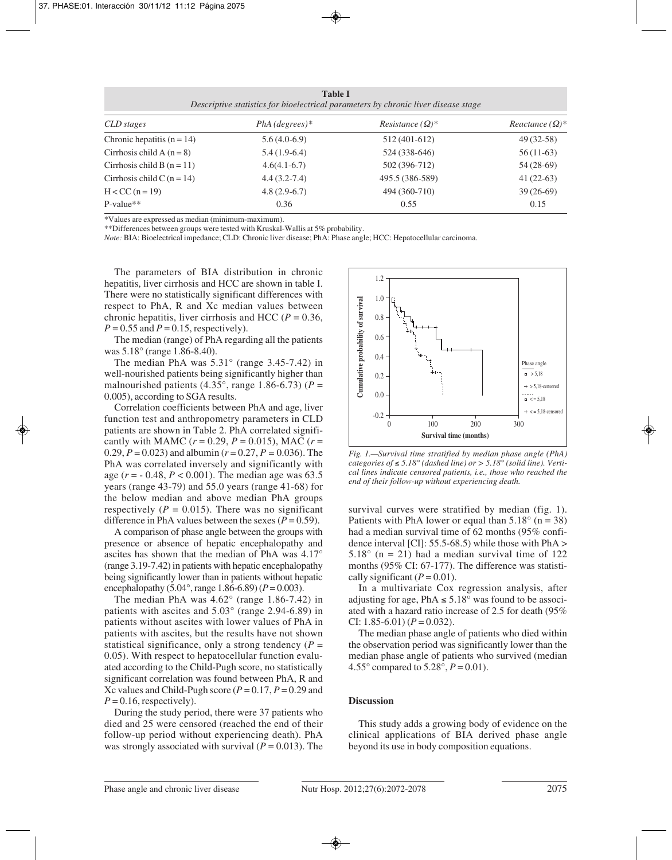| Table I                                                                            |  |
|------------------------------------------------------------------------------------|--|
| Descriptive statistics for bioelectrical parameters by chronic liver disease stage |  |

| CLD stages                   | $PhA$ (degrees)* | Resistance $(\Omega)^*$ | Reactance $(\Omega)^*$ |
|------------------------------|------------------|-------------------------|------------------------|
| Chronic hepatitis $(n = 14)$ | $5.6(4.0-6.9)$   | 512 (401-612)           | 49 (32-58)             |
| Cirrhosis child A $(n=8)$    | $5.4(1.9-6.4)$   | 524 (338-646)           | $56(11-63)$            |
| Cirrhosis child B $(n = 11)$ | $4.6(4.1-6.7)$   | 502 (396-712)           | $54(28-69)$            |
| Cirrhosis child C $(n = 14)$ | $4.4(3.2-7.4)$   | 495.5 (386-589)         | $41(22-63)$            |
| $H < CC (n = 19)$            | $4.8(2.9-6.7)$   | 494 (360-710)           | $39(26-69)$            |
| $P-value**$                  | 0.36             | 0.55                    | 0.15                   |

\*Values are expressed as median (minimum-maximum).

\*\*Differences between groups were tested with Kruskal-Wallis at 5% probability.

*Note:* BIA: Bioelectrical impedance; CLD: Chronic liver disease; PhA: Phase angle; HCC: Hepatocellular carcinoma.

The parameters of BIA distribution in chronic hepatitis, liver cirrhosis and HCC are shown in table I. There were no statistically significant differences with respect to PhA, R and Xc median values between chronic hepatitis, liver cirrhosis and HCC ( $P = 0.36$ ,  $P = 0.55$  and  $P = 0.15$ , respectively).

The median (range) of PhA regarding all the patients was 5.18° (range 1.86-8.40).

The median PhA was 5.31° (range 3.45-7.42) in well-nourished patients being significantly higher than malnourished patients  $(4.35^{\circ})$ , range 1.86-6.73) ( $P =$ 0.005), according to SGA results.

Correlation coefficients between PhA and age, liver function test and anthropometry parameters in CLD patients are shown in Table 2. PhA correlated significantly with MAMC ( $r = 0.29$ ,  $P = 0.015$ ), MAC ( $r =$ 0.29, *P* = 0.023) and albumin (*r* = 0.27, *P =* 0.036). The PhA was correlated inversely and significantly with age (*r* = - 0.48, *P* < 0.001). The median age was 63.5 years (range 43-79) and 55.0 years (range 41-68) for the below median and above median PhA groups respectively ( $P = 0.015$ ). There was no significant difference in PhA values between the sexes  $(P = 0.59)$ .

A comparison of phase angle between the groups with presence or absence of hepatic encephalopathy and ascites has shown that the median of PhA was 4.17° (range 3.19-7.42) in patients with hepatic encephalopathy being significantly lower than in patients without hepatic encephalopathy (5.04 $^{\circ}$ , range 1.86-6.89) (*P* = 0.003).

The median PhA was 4.62° (range 1.86-7.42) in patients with ascites and 5.03° (range 2.94-6.89) in patients without ascites with lower values of PhA in patients with ascites, but the results have not shown statistical significance, only a strong tendency  $(P =$ 0.05). With respect to hepatocellular function evaluated according to the Child-Pugh score, no statistically significant correlation was found between PhA, R and Xc values and Child-Pugh score  $(P = 0.17, P = 0.29$  and  $P = 0.16$ , respectively).

During the study period, there were 37 patients who died and 25 were censored (reached the end of their follow-up period without experiencing death). PhA was strongly associated with survival  $(P = 0.013)$ . The



*Fig. 1.—Survival time stratified by median phase angle (PhA) categories of* ≤ *5.18° (dashed line) or > 5.18° (solid line). Vertical lines indicate censored patients, i.e., those who reached the end of their follow-up without experiencing death.*

survival curves were stratified by median (fig. 1). Patients with PhA lower or equal than  $5.18^\circ$  (n = 38) had a median survival time of 62 months (95% confidence interval [CI]:  $55.5-68.5$ ) while those with PhA >  $5.18^\circ$  (n = 21) had a median survival time of 122 months (95% CI: 67-177). The difference was statistically significant  $(P = 0.01)$ .

In a multivariate Cox regression analysis, after adjusting for age, PhA  $\leq 5.18^\circ$  was found to be associated with a hazard ratio increase of 2.5 for death (95% CI:  $1.85 - 6.01$ ) ( $P = 0.032$ ).

The median phase angle of patients who died within the observation period was significantly lower than the median phase angle of patients who survived (median 4.55 $^{\circ}$  compared to 5.28 $^{\circ}$ ,  $P = 0.01$ ).

## **Discussion**

This study adds a growing body of evidence on the clinical applications of BIA derived phase angle beyond its use in body composition equations.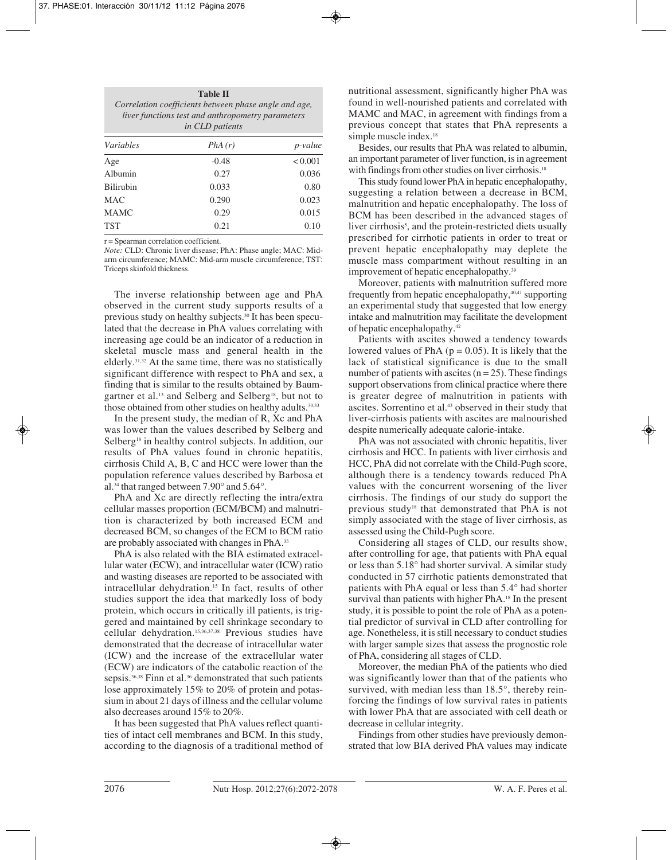| <b>Table II</b><br>Correlation coefficients between phase angle and age,<br>liver functions test and anthropometry parameters<br>in CLD patients |         |                 |  |  |
|--------------------------------------------------------------------------------------------------------------------------------------------------|---------|-----------------|--|--|
| <i>Variables</i>                                                                                                                                 | PhA(r)  | <i>p</i> -value |  |  |
| Age                                                                                                                                              | $-0.48$ | < 0.001         |  |  |
| Albumin                                                                                                                                          | 0.27    | 0.036           |  |  |
| <b>Bilirubin</b>                                                                                                                                 | 0.033   | 0.80            |  |  |
| MAC.                                                                                                                                             | 0.290   | 0.023           |  |  |
| <b>MAMC</b>                                                                                                                                      | 0.29    | 0.015           |  |  |
| <b>TST</b>                                                                                                                                       | 0.21    | 0.10            |  |  |

r = Spearman correlation coefficient.

*Note:* CLD: Chronic liver disease; PhA: Phase angle; MAC: Midarm circumference; MAMC: Mid-arm muscle circumference; TST: Triceps skinfold thickness.

The inverse relationship between age and PhA observed in the current study supports results of a previous study on healthy subjects.30 It has been speculated that the decrease in PhA values correlating with increasing age could be an indicator of a reduction in skeletal muscle mass and general health in the elderly.31,32 At the same time, there was no statistically significant difference with respect to PhA and sex, a finding that is similar to the results obtained by Baumgartner et al.<sup>13</sup> and Selberg and Selberg<sup>18</sup>, but not to those obtained from other studies on healthy adults.<sup>30,33</sup>

In the present study, the median of R, Xc and PhA was lower than the values described by Selberg and Selberg<sup>18</sup> in healthy control subjects. In addition, our results of PhA values found in chronic hepatitis, cirrhosis Child A, B, C and HCC were lower than the population reference values described by Barbosa et al.34 that ranged between 7.90° and 5.64°.

PhA and Xc are directly reflecting the intra/extra cellular masses proportion (ECM/BCM) and malnutrition is characterized by both increased ECM and decreased BCM, so changes of the ECM to BCM ratio are probably associated with changes in PhA.35

PhA is also related with the BIA estimated extracellular water (ECW), and intracellular water (ICW) ratio and wasting diseases are reported to be associated with intracellular dehydration.15 In fact, results of other studies support the idea that markedly loss of body protein, which occurs in critically ill patients, is triggered and maintained by cell shrinkage secondary to cellular dehydration.15,36,37,38 Previous studies have demonstrated that the decrease of intracellular water (ICW) and the increase of the extracellular water (ECW) are indicators of the catabolic reaction of the sepsis.<sup>36,38</sup> Finn et al.<sup>36</sup> demonstrated that such patients lose approximately 15% to 20% of protein and potassium in about 21 days of illness and the cellular volume also decreases around 15% to 20%.

It has been suggested that PhA values reflect quantities of intact cell membranes and BCM. In this study, according to the diagnosis of a traditional method of nutritional assessment, significantly higher PhA was found in well-nourished patients and correlated with MAMC and MAC, in agreement with findings from a previous concept that states that PhA represents a simple muscle index.<sup>18</sup>

Besides, our results that PhA was related to albumin, an important parameter of liver function, is in agreement with findings from other studies on liver cirrhosis.<sup>18</sup>

This study found lower PhA in hepatic encephalopathy, suggesting a relation between a decrease in BCM, malnutrition and hepatic encephalopathy. The loss of BCM has been described in the advanced stages of liver cirrhosis<sup>5</sup>, and the protein-restricted diets usually prescribed for cirrhotic patients in order to treat or prevent hepatic encephalopathy may deplete the muscle mass compartment without resulting in an improvement of hepatic encephalopathy.39

Moreover, patients with malnutrition suffered more frequently from hepatic encephalopathy, $40,41$  supporting an experimental study that suggested that low energy intake and malnutrition may facilitate the development of hepatic encephalopathy.42

Patients with ascites showed a tendency towards lowered values of PhA ( $p = 0.05$ ). It is likely that the lack of statistical significance is due to the small number of patients with ascites  $(n = 25)$ . These findings support observations from clinical practice where there is greater degree of malnutrition in patients with ascites. Sorrentino et al.43 observed in their study that liver-cirrhosis patients with ascites are malnourished despite numerically adequate calorie-intake.

PhA was not associated with chronic hepatitis, liver cirrhosis and HCC. In patients with liver cirrhosis and HCC, PhA did not correlate with the Child-Pugh score, although there is a tendency towards reduced PhA values with the concurrent worsening of the liver cirrhosis. The findings of our study do support the previous study18 that demonstrated that PhA is not simply associated with the stage of liver cirrhosis, as assessed using the Child-Pugh score.

Considering all stages of CLD, our results show, after controlling for age, that patients with PhA equal or less than 5.18° had shorter survival. A similar study conducted in 57 cirrhotic patients demonstrated that patients with PhA equal or less than 5.4° had shorter survival than patients with higher PhA.18 In the present study, it is possible to point the role of PhA as a potential predictor of survival in CLD after controlling for age. Nonetheless, it is still necessary to conduct studies with larger sample sizes that assess the prognostic role of PhA, considering all stages of CLD.

Moreover, the median PhA of the patients who died was significantly lower than that of the patients who survived, with median less than 18.5°, thereby reinforcing the findings of low survival rates in patients with lower PhA that are associated with cell death or decrease in cellular integrity.

Findings from other studies have previously demonstrated that low BIA derived PhA values may indicate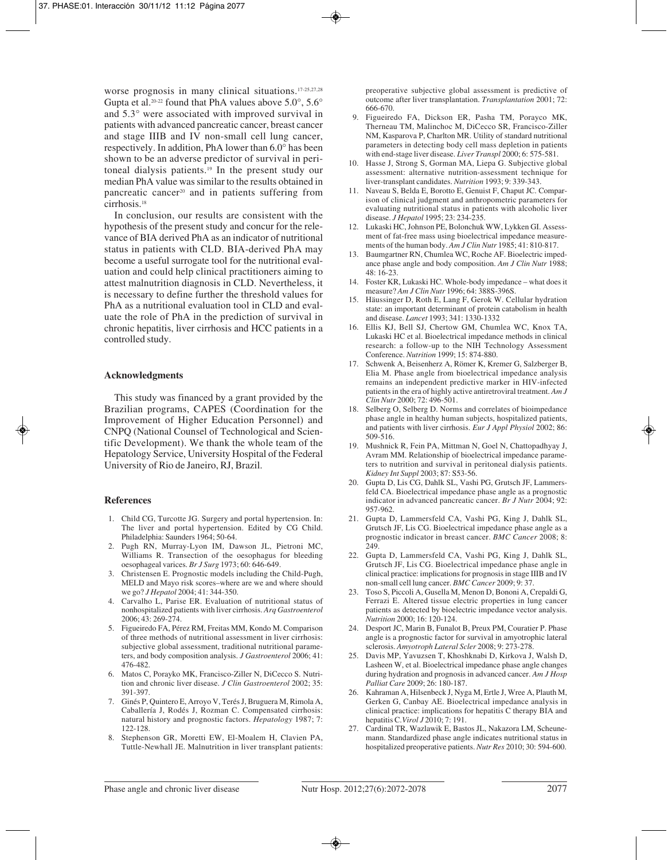worse prognosis in many clinical situations.<sup>17-25,27,28</sup> Gupta et al.<sup>20-22</sup> found that PhA values above  $5.0^{\circ}$ ,  $5.6^{\circ}$ and 5.3° were associated with improved survival in patients with advanced pancreatic cancer, breast cancer and stage IIIB and IV non-small cell lung cancer, respectively. In addition, PhA lower than 6.0° has been shown to be an adverse predictor of survival in peritoneal dialysis patients.19 In the present study our median PhA value was similar to the results obtained in pancreatic cancer20 and in patients suffering from cirrhosis.18

In conclusion, our results are consistent with the hypothesis of the present study and concur for the relevance of BIA derived PhA as an indicator of nutritional status in patients with CLD. BIA-derived PhA may become a useful surrogate tool for the nutritional evaluation and could help clinical practitioners aiming to attest malnutrition diagnosis in CLD. Nevertheless, it is necessary to define further the threshold values for PhA as a nutritional evaluation tool in CLD and evaluate the role of PhA in the prediction of survival in chronic hepatitis, liver cirrhosis and HCC patients in a controlled study.

# **Acknowledgments**

This study was financed by a grant provided by the Brazilian programs, CAPES (Coordination for the Improvement of Higher Education Personnel) and CNPQ (National Counsel of Technological and Scientific Development). We thank the whole team of the Hepatology Service, University Hospital of the Federal University of Rio de Janeiro, RJ, Brazil.

#### **References**

- 1. Child CG, Turcotte JG. Surgery and portal hypertension. In: The liver and portal hypertension. Edited by CG Child. Philadelphia: Saunders 1964; 50-64.
- 2. Pugh RN, Murray-Lyon IM, Dawson JL, Pietroni MC, Williams R. Transection of the oesophagus for bleeding oesophageal varices. *Br J Surg* 1973; 60: 646-649.
- 3. Christensen E. Prognostic models including the Child-Pugh, MELD and Mayo risk scores–where are we and where should we go? *J Hepatol* 2004; 41: 344-350.
- 4. Carvalho L, Parise ER. Evaluation of nutritional status of nonhospitalized patients with liver cirrhosis. *Arq Gastroenterol* 2006; 43: 269-274.
- 5. Figueiredo FA, Pérez RM, Freitas MM, Kondo M. Comparison of three methods of nutritional assessment in liver cirrhosis: subjective global assessment, traditional nutritional parameters, and body composition analysis. *J Gastroenterol* 2006; 41: 476-482.
- 6. Matos C, Porayko MK, Francisco-Ziller N, DiCecco S. Nutrition and chronic liver disease. *J Clin Gastroenterol* 2002; 35: 391-397.
- 7. Ginés P, Quintero E, Arroyo V, Terés J, Bruguera M, Rimola A, Caballería J, Rodés J, Rozman C. Compensated cirrhosis: natural history and prognostic factors. *Hepatology* 1987; 7: 122-128.
- 8. Stephenson GR, Moretti EW, El-Moalem H, Clavien PA, Tuttle-Newhall JE. Malnutrition in liver transplant patients:

preoperative subjective global assessment is predictive of outcome after liver transplantation. *Transplantation* 2001; 72: 666-670.

- 9. Figueiredo FA, Dickson ER, Pasha TM, Porayco MK, Therneau TM, Malinchoc M, DiCecco SR, Francisco-Ziller NM, Kasparova P, Charlton MR. Utility of standard nutritional parameters in detecting body cell mass depletion in patients with end-stage liver disease. *Liver Transpl* 2000; 6: 575-581.
- 10. Hasse J, Strong S, Gorman MA, Liepa G. Subjective global assessment: alternative nutrition-assessment technique for liver-transplant candidates. *Nutrition* 1993; 9: 339-343.
- 11. Naveau S, Belda E, Borotto E, Genuist F, Chaput JC. Comparison of clinical judgment and anthropometric parameters for evaluating nutritional status in patients with alcoholic liver disease. *J Hepatol* 1995; 23: 234-235.
- 12. Lukaski HC, Johnson PE, Bolonchuk WW, Lykken GI. Assessment of fat-free mass using bioelectrical impedance measurements of the human body. *Am J Clin Nutr* 1985; 41: 810-817.
- 13. Baumgartner RN, Chumlea WC, Roche AF. Bioelectric impedance phase angle and body composition. *Am J Clin Nutr* 1988; 48: 16-23.
- 14. Foster KR, Lukaski HC. Whole-body impedance what does it measure? *Am J Clin Nutr* 1996; 64: 388S-396S.
- 15. Häussinger D, Roth E, Lang F, Gerok W. Cellular hydration state: an important determinant of protein catabolism in health and disease. *Lancet* 1993; 341: 1330-1332
- 16. Ellis KJ, Bell SJ, Chertow GM, Chumlea WC, Knox TA, Lukaski HC et al. Bioelectrical impedance methods in clinical research: a follow-up to the NIH Technology Assessment Conference. *Nutrition* 1999; 15: 874-880.
- 17. Schwenk A, Beisenherz A, Römer K, Kremer G, Salzberger B, Elia M. Phase angle from bioelectrical impedance analysis remains an independent predictive marker in HIV-infected patients in the era of highly active antiretroviral treatment. *Am J Clin Nutr* 2000; 72: 496-501.
- 18. Selberg O, Selberg D. Norms and correlates of bioimpedance phase angle in healthy human subjects, hospitalized patients, and patients with liver cirrhosis. *Eur J Appl Physiol* 2002; 86: 509-516.
- 19. Mushnick R, Fein PA, Mittman N, Goel N, Chattopadhyay J, Avram MM. Relationship of bioelectrical impedance parameters to nutrition and survival in peritoneal dialysis patients. *Kidney Int Suppl* 2003; 87: S53-56.
- 20. Gupta D, Lis CG, Dahlk SL, Vashi PG, Grutsch JF, Lammersfeld CA. Bioelectrical impedance phase angle as a prognostic indicator in advanced pancreatic cancer. *Br J Nutr* 2004; 92: 957-962.
- 21. Gupta D, Lammersfeld CA, Vashi PG, King J, Dahlk SL, Grutsch JF, Lis CG. Bioelectrical impedance phase angle as a prognostic indicator in breast cancer. *BMC Cancer* 2008; 8: 249.
- 22. Gupta D, Lammersfeld CA, Vashi PG, King J, Dahlk SL, Grutsch JF, Lis CG. Bioelectrical impedance phase angle in clinical practice: implications for prognosis in stage IIIB and IV non-small cell lung cancer. *BMC Cancer* 2009; 9: 37.
- 23. Toso S, Piccoli A, Gusella M, Menon D, Bononi A, Crepaldi G, Ferrazi E. Altered tissue electric properties in lung cancer patients as detected by bioelectric impedance vector analysis. *Nutrition* 2000; 16: 120-124.
- 24. Desport JC, Marin B, Funalot B, Preux PM, Couratier P. Phase angle is a prognostic factor for survival in amyotrophic lateral sclerosis. *Amyotroph Lateral Scler* 2008; 9: 273-278.
- 25. Davis MP, Yavuzsen T, Khoshknabi D, Kirkova J, Walsh D, Lasheen W, et al. Bioelectrical impedance phase angle changes during hydration and prognosis in advanced cancer. *Am J Hosp Palliat Care* 2009; 26: 180-187.
- 26. Kahraman A, Hilsenbeck J, Nyga M, Ertle J, Wree A, Plauth M, Gerken G, Canbay AE. Bioelectrical impedance analysis in clinical practice: implications for hepatitis C therapy BIA and hepatitis C.*Virol J* 2010; 7: 191.
- 27. Cardinal TR, Wazlawik E, Bastos JL, Nakazora LM, Scheunemann. Standardized phase angle indicates nutritional status in hospitalized preoperative patients. *Nutr Res* 2010; 30: 594-600.